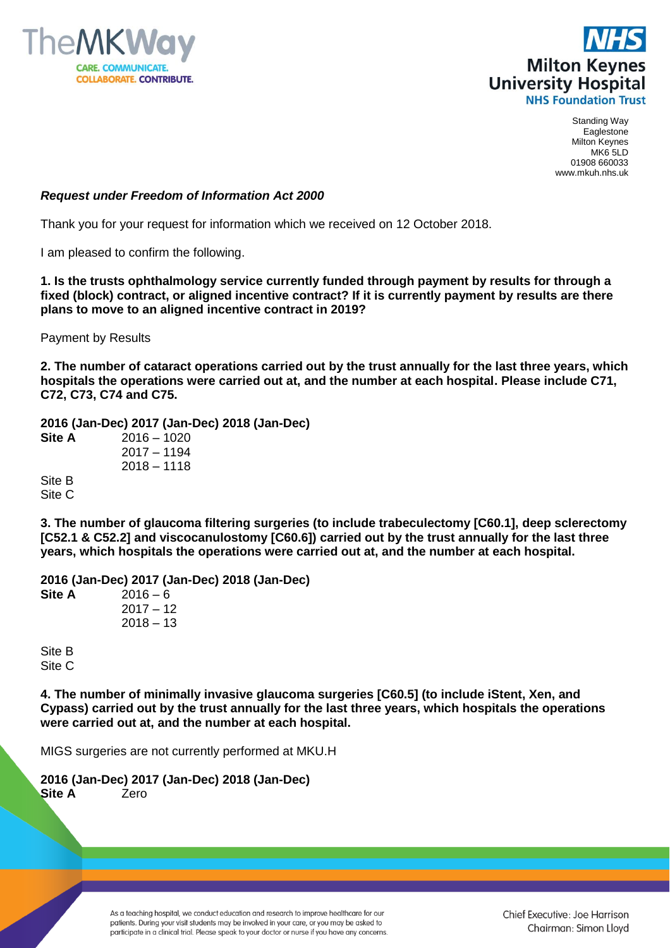



Standing Way Eaglestone Milton Keynes MK6 5LD 01908 660033 www.mkuh.nhs.uk

## *Request under Freedom of Information Act 2000*

Thank you for your request for information which we received on 12 October 2018.

I am pleased to confirm the following.

**1. Is the trusts ophthalmology service currently funded through payment by results for through a fixed (block) contract, or aligned incentive contract? If it is currently payment by results are there plans to move to an aligned incentive contract in 2019?** 

Payment by Results

**2. The number of cataract operations carried out by the trust annually for the last three years, which hospitals the operations were carried out at, and the number at each hospital. Please include C71, C72, C73, C74 and C75.**

**2016 (Jan-Dec) 2017 (Jan-Dec) 2018 (Jan-Dec)**

**Site A** 2016 – 1020 2017 – 1194 2018 – 1118 Site B Site C

**3. The number of glaucoma filtering surgeries (to include trabeculectomy [C60.1], deep sclerectomy [C52.1 & C52.2] and viscocanulostomy [C60.6]) carried out by the trust annually for the last three years, which hospitals the operations were carried out at, and the number at each hospital.**

**2016 (Jan-Dec) 2017 (Jan-Dec) 2018 (Jan-Dec) Site A** 2016 – 6  $2017 - 12$  $2018 - 13$ 

Site B Site C

**4. The number of minimally invasive glaucoma surgeries [C60.5] (to include iStent, Xen, and Cypass) carried out by the trust annually for the last three years, which hospitals the operations were carried out at, and the number at each hospital.**

MIGS surgeries are not currently performed at MKU.H

**2016 (Jan-Dec) 2017 (Jan-Dec) 2018 (Jan-Dec) Site A** Zero

> As a teaching hospital, we conduct education and research to improve healthcare for our patients. During your visit students may be involved in your care, or you may be asked to participate in a clinical trial. Please speak to your doctor or nurse if you have any concerns.